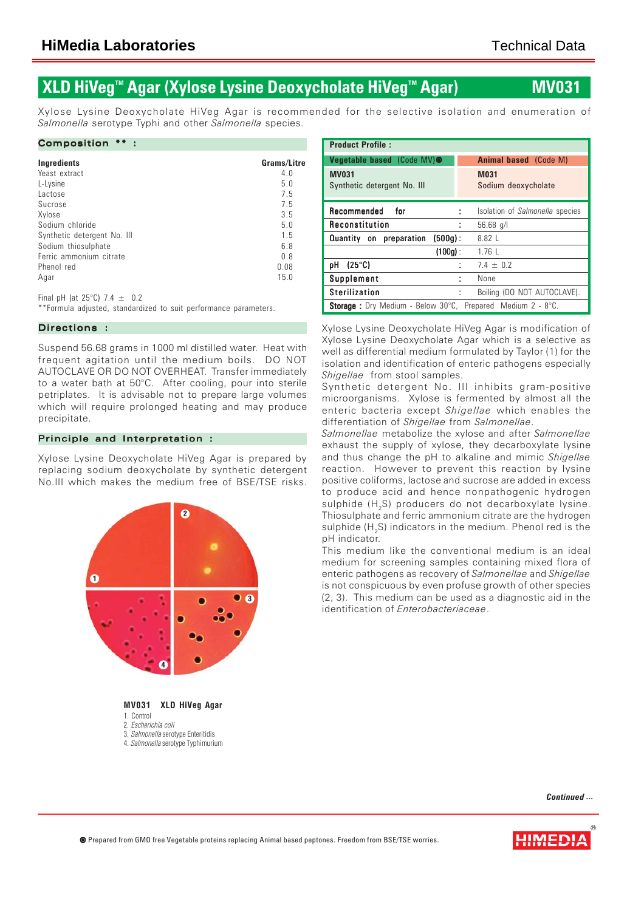## **XLD HiVeg<sup>™</sup> Agar (Xylose Lysine Deoxycholate HiVeg<sup>™</sup> Agar) MV03**

Xylose Lysine Deoxycholate HiVeg Agar is recommended for the selective isolation and enumeration of *Salmonella* serotype Typhi and other *Salmonella* species.

#### Composition \*\* :

| Ingredients                 | Grams/Litre |
|-----------------------------|-------------|
| Yeast extract               | 4.0         |
| L-Lysine                    | 5.0         |
| lactose                     | 7.5         |
| Sucrose                     | 7.5         |
| Xylose                      | 3.5         |
| Sodium chloride             | 5.0         |
| Synthetic detergent No. III | 1.5         |
| Sodium thiosulphate         | 6.8         |
| Ferric ammonium citrate     | 0.8         |
| Phenol red                  | 0.08        |
| Agar                        | 15.0        |

Final pH (at  $25^{\circ}$ C) 7.4  $\pm$  0.2

\*\*Formula adjusted, standardized to suit performance parameters.

## Directions :

Suspend 56.68 grams in 1000 ml distilled water. Heat with frequent agitation until the medium boils. DO NOT AUTOCLAVE OR DO NOT OVERHEAT. Transfer immediately to a water bath at 50°C. After cooling, pour into sterile petriplates. It is advisable not to prepare large volumes which will require prolonged heating and may produce precipitate.

## Principle and Interpretation :

Xylose Lysine Deoxycholate HiVeg Agar is prepared by replacing sodium deoxycholate by synthetic detergent No.III which makes the medium free of BSE/TSE risks.



1. Control

3. *Salmonella* serotype Enteritidis

4. *Salmonella* serotype Typhimurium

| <b>Product Profile:</b>                                                                  |                                    |  |  |  |  |
|------------------------------------------------------------------------------------------|------------------------------------|--|--|--|--|
| Vegetable based (Code MV) <sup>®</sup>                                                   | <b>Animal based</b> (Code M)       |  |  |  |  |
| <b>MV031</b><br>Synthetic detergent No. III                                              | <b>M031</b><br>Sodium deoxycholate |  |  |  |  |
| Recommended<br>for<br>÷                                                                  | Isolation of Salmonella species    |  |  |  |  |
| Reconstitution<br>t                                                                      | $56.68$ q/l                        |  |  |  |  |
| Quantity on preparation<br>$(500q)$ :                                                    | $8.82 \text{ } \square$            |  |  |  |  |
| $(100q)$ :                                                                               | $1.76$                             |  |  |  |  |
| $(25^{\circ}C)$<br>pН<br>t                                                               | $7.4 \pm 0.2$                      |  |  |  |  |
| Supplement<br>÷                                                                          | None                               |  |  |  |  |
| <b>Sterilization</b><br>t                                                                | Boiling (DO NOT AUTOCLAVE).        |  |  |  |  |
| <b>Storage</b> : Dry Medium - Below 30 $^{\circ}$ C, Prepared Medium 2 - 8 $^{\circ}$ C. |                                    |  |  |  |  |

Xylose Lysine Deoxycholate HiVeg Agar is modification of Xylose Lysine Deoxycholate Agar which is a selective as well as differential medium formulated by Taylor (1) for the isolation and identification of enteric pathogens especially *Shigellae* from stool samples.

Synthetic detergent No. III inhibits gram-positive microorganisms. Xylose is fermented by almost all the enteric bacteria except *Shigellae* which enables the differentiation of *Shigellae* from *Salmonellae*.

*Salmonellae* metabolize the xylose and after *Salmonellae* exhaust the supply of xylose, they decarboxylate lysine and thus change the pH to alkaline and mimic *Shigellae* reaction. However to prevent this reaction by lysine positive coliforms, lactose and sucrose are added in excess to produce acid and hence nonpathogenic hydrogen sulphide (H<sub>2</sub>S) producers do not decarboxylate lysine. Thiosulphate and ferric ammonium citrate are the hydrogen sulphide (H<sub>2</sub>S) indicators in the medium. Phenol red is the pH indicator.

This medium like the conventional medium is an ideal medium for screening samples containing mixed flora of enteric pathogens as recovery of *Salmonellae* and *Shigellae* is not conspicuous by even profuse growth of other species (2, 3). This medium can be used as a diagnostic aid in the identification of *Enterobacteriaceae*.

*Continued ...*



<sup>2.</sup> *Escherichia coli*